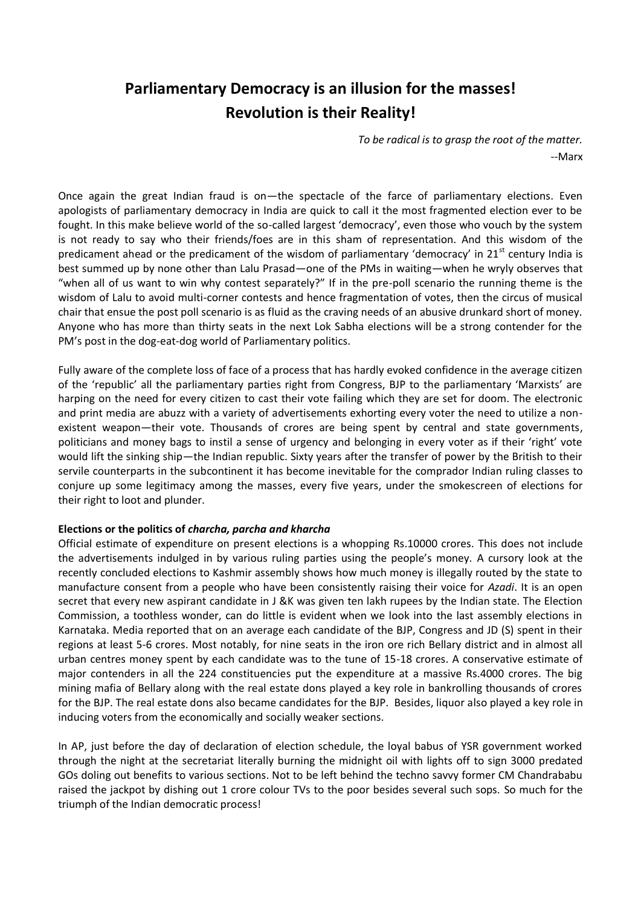# **Parliamentary Democracy is an illusion for the masses! Revolution is their Reality!**

*To be radical is to grasp the root of the matter.* --Marx

Once again the great Indian fraud is on—the spectacle of the farce of parliamentary elections. Even apologists of parliamentary democracy in India are quick to call it the most fragmented election ever to be fought. In this make believe world of the so-called largest 'democracy', even those who vouch by the system is not ready to say who their friends/foes are in this sham of representation. And this wisdom of the predicament ahead or the predicament of the wisdom of parliamentary 'democracy' in  $21<sup>st</sup>$  century India is best summed up by none other than Lalu Prasad—one of the PMs in waiting—when he wryly observes that "when all of us want to win why contest separately?" If in the pre-poll scenario the running theme is the wisdom of Lalu to avoid multi-corner contests and hence fragmentation of votes, then the circus of musical chair that ensue the post poll scenario is as fluid as the craving needs of an abusive drunkard short of money. Anyone who has more than thirty seats in the next Lok Sabha elections will be a strong contender for the PM's post in the dog-eat-dog world of Parliamentary politics.

Fully aware of the complete loss of face of a process that has hardly evoked confidence in the average citizen of the 'republic' all the parliamentary parties right from Congress, BJP to the parliamentary 'Marxists' are harping on the need for every citizen to cast their vote failing which they are set for doom. The electronic and print media are abuzz with a variety of advertisements exhorting every voter the need to utilize a nonexistent weapon—their vote. Thousands of crores are being spent by central and state governments, politicians and money bags to instil a sense of urgency and belonging in every voter as if their 'right' vote would lift the sinking ship—the Indian republic. Sixty years after the transfer of power by the British to their servile counterparts in the subcontinent it has become inevitable for the comprador Indian ruling classes to conjure up some legitimacy among the masses, every five years, under the smokescreen of elections for their right to loot and plunder.

## **Elections or the politics of** *charcha, parcha and kharcha*

Official estimate of expenditure on present elections is a whopping Rs.10000 crores. This does not include the advertisements indulged in by various ruling parties using the people's money. A cursory look at the recently concluded elections to Kashmir assembly shows how much money is illegally routed by the state to manufacture consent from a people who have been consistently raising their voice for *Azadi*. It is an open secret that every new aspirant candidate in J &K was given ten lakh rupees by the Indian state. The Election Commission, a toothless wonder, can do little is evident when we look into the last assembly elections in Karnataka. Media reported that on an average each candidate of the BJP, Congress and JD (S) spent in their regions at least 5-6 crores. Most notably, for nine seats in the iron ore rich Bellary district and in almost all urban centres money spent by each candidate was to the tune of 15-18 crores. A conservative estimate of major contenders in all the 224 constituencies put the expenditure at a massive Rs.4000 crores. The big mining mafia of Bellary along with the real estate dons played a key role in bankrolling thousands of crores for the BJP. The real estate dons also became candidates for the BJP. Besides, liquor also played a key role in inducing voters from the economically and socially weaker sections.

In AP, just before the day of declaration of election schedule, the loyal babus of YSR government worked through the night at the secretariat literally burning the midnight oil with lights off to sign 3000 predated GOs doling out benefits to various sections. Not to be left behind the techno savvy former CM Chandrababu raised the jackpot by dishing out 1 crore colour TVs to the poor besides several such sops. So much for the triumph of the Indian democratic process!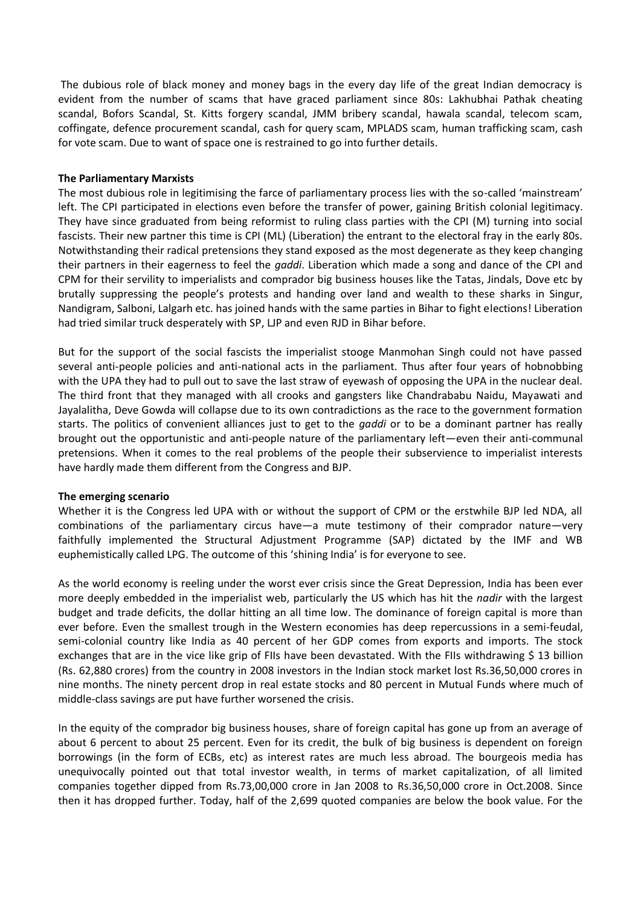The dubious role of black money and money bags in the every day life of the great Indian democracy is evident from the number of scams that have graced parliament since 80s: Lakhubhai Pathak cheating scandal, Bofors Scandal, St. Kitts forgery scandal, JMM bribery scandal, hawala scandal, telecom scam, coffingate, defence procurement scandal, cash for query scam, MPLADS scam, human trafficking scam, cash for vote scam. Due to want of space one is restrained to go into further details.

#### **The Parliamentary Marxists**

The most dubious role in legitimising the farce of parliamentary process lies with the so-called 'mainstream' left. The CPI participated in elections even before the transfer of power, gaining British colonial legitimacy. They have since graduated from being reformist to ruling class parties with the CPI (M) turning into social fascists. Their new partner this time is CPI (ML) (Liberation) the entrant to the electoral fray in the early 80s. Notwithstanding their radical pretensions they stand exposed as the most degenerate as they keep changing their partners in their eagerness to feel the *gaddi*. Liberation which made a song and dance of the CPI and CPM for their servility to imperialists and comprador big business houses like the Tatas, Jindals, Dove etc by brutally suppressing the people's protests and handing over land and wealth to these sharks in Singur, Nandigram, Salboni, Lalgarh etc. has joined hands with the same parties in Bihar to fight elections! Liberation had tried similar truck desperately with SP, LJP and even RJD in Bihar before.

But for the support of the social fascists the imperialist stooge Manmohan Singh could not have passed several anti-people policies and anti-national acts in the parliament. Thus after four years of hobnobbing with the UPA they had to pull out to save the last straw of eyewash of opposing the UPA in the nuclear deal. The third front that they managed with all crooks and gangsters like Chandrababu Naidu, Mayawati and Jayalalitha, Deve Gowda will collapse due to its own contradictions as the race to the government formation starts. The politics of convenient alliances just to get to the *gaddi* or to be a dominant partner has really brought out the opportunistic and anti-people nature of the parliamentary left—even their anti-communal pretensions. When it comes to the real problems of the people their subservience to imperialist interests have hardly made them different from the Congress and BJP.

## **The emerging scenario**

Whether it is the Congress led UPA with or without the support of CPM or the erstwhile BJP led NDA, all combinations of the parliamentary circus have—a mute testimony of their comprador nature—very faithfully implemented the Structural Adjustment Programme (SAP) dictated by the IMF and WB euphemistically called LPG. The outcome of this 'shining India' is for everyone to see.

As the world economy is reeling under the worst ever crisis since the Great Depression, India has been ever more deeply embedded in the imperialist web, particularly the US which has hit the *nadir* with the largest budget and trade deficits, the dollar hitting an all time low. The dominance of foreign capital is more than ever before. Even the smallest trough in the Western economies has deep repercussions in a semi-feudal, semi-colonial country like India as 40 percent of her GDP comes from exports and imports. The stock exchanges that are in the vice like grip of FIIs have been devastated. With the FIIs withdrawing \$ 13 billion (Rs. 62,880 crores) from the country in 2008 investors in the Indian stock market lost Rs.36,50,000 crores in nine months. The ninety percent drop in real estate stocks and 80 percent in Mutual Funds where much of middle-class savings are put have further worsened the crisis.

In the equity of the comprador big business houses, share of foreign capital has gone up from an average of about 6 percent to about 25 percent. Even for its credit, the bulk of big business is dependent on foreign borrowings (in the form of ECBs, etc) as interest rates are much less abroad. The bourgeois media has unequivocally pointed out that total investor wealth, in terms of market capitalization, of all limited companies together dipped from Rs.73,00,000 crore in Jan 2008 to Rs.36,50,000 crore in Oct.2008. Since then it has dropped further. Today, half of the 2,699 quoted companies are below the book value. For the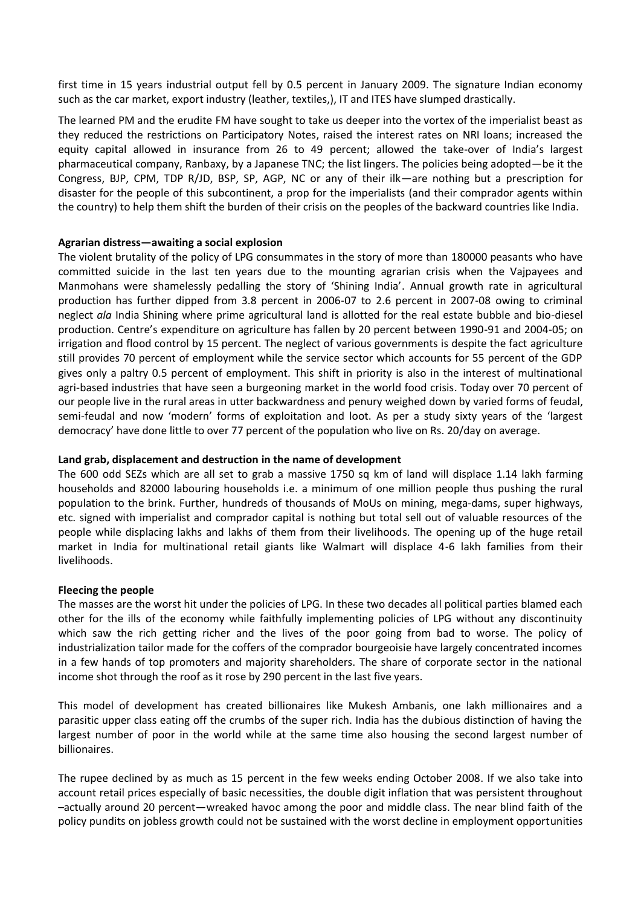first time in 15 years industrial output fell by 0.5 percent in January 2009. The signature Indian economy such as the car market, export industry (leather, textiles,), IT and ITES have slumped drastically.

The learned PM and the erudite FM have sought to take us deeper into the vortex of the imperialist beast as they reduced the restrictions on Participatory Notes, raised the interest rates on NRI loans; increased the equity capital allowed in insurance from 26 to 49 percent; allowed the take-over of India's largest pharmaceutical company, Ranbaxy, by a Japanese TNC; the list lingers. The policies being adopted—be it the Congress, BJP, CPM, TDP R/JD, BSP, SP, AGP, NC or any of their ilk—are nothing but a prescription for disaster for the people of this subcontinent, a prop for the imperialists (and their comprador agents within the country) to help them shift the burden of their crisis on the peoples of the backward countries like India.

## **Agrarian distress—awaiting a social explosion**

The violent brutality of the policy of LPG consummates in the story of more than 180000 peasants who have committed suicide in the last ten years due to the mounting agrarian crisis when the Vajpayees and Manmohans were shamelessly pedalling the story of 'Shining India'. Annual growth rate in agricultural production has further dipped from 3.8 percent in 2006-07 to 2.6 percent in 2007-08 owing to criminal neglect *ala* India Shining where prime agricultural land is allotted for the real estate bubble and bio-diesel production. Centre's expenditure on agriculture has fallen by 20 percent between 1990-91 and 2004-05; on irrigation and flood control by 15 percent. The neglect of various governments is despite the fact agriculture still provides 70 percent of employment while the service sector which accounts for 55 percent of the GDP gives only a paltry 0.5 percent of employment. This shift in priority is also in the interest of multinational agri-based industries that have seen a burgeoning market in the world food crisis. Today over 70 percent of our people live in the rural areas in utter backwardness and penury weighed down by varied forms of feudal, semi-feudal and now 'modern' forms of exploitation and loot. As per a study sixty years of the 'largest democracy' have done little to over 77 percent of the population who live on Rs. 20/day on average.

## **Land grab, displacement and destruction in the name of development**

The 600 odd SEZs which are all set to grab a massive 1750 sq km of land will displace 1.14 lakh farming households and 82000 labouring households i.e. a minimum of one million people thus pushing the rural population to the brink. Further, hundreds of thousands of MoUs on mining, mega-dams, super highways, etc. signed with imperialist and comprador capital is nothing but total sell out of valuable resources of the people while displacing lakhs and lakhs of them from their livelihoods. The opening up of the huge retail market in India for multinational retail giants like Walmart will displace 4-6 lakh families from their livelihoods.

#### **Fleecing the people**

The masses are the worst hit under the policies of LPG. In these two decades all political parties blamed each other for the ills of the economy while faithfully implementing policies of LPG without any discontinuity which saw the rich getting richer and the lives of the poor going from bad to worse. The policy of industrialization tailor made for the coffers of the comprador bourgeoisie have largely concentrated incomes in a few hands of top promoters and majority shareholders. The share of corporate sector in the national income shot through the roof as it rose by 290 percent in the last five years.

This model of development has created billionaires like Mukesh Ambanis, one lakh millionaires and a parasitic upper class eating off the crumbs of the super rich. India has the dubious distinction of having the largest number of poor in the world while at the same time also housing the second largest number of billionaires.

The rupee declined by as much as 15 percent in the few weeks ending October 2008. If we also take into account retail prices especially of basic necessities, the double digit inflation that was persistent throughout –actually around 20 percent—wreaked havoc among the poor and middle class. The near blind faith of the policy pundits on jobless growth could not be sustained with the worst decline in employment opportunities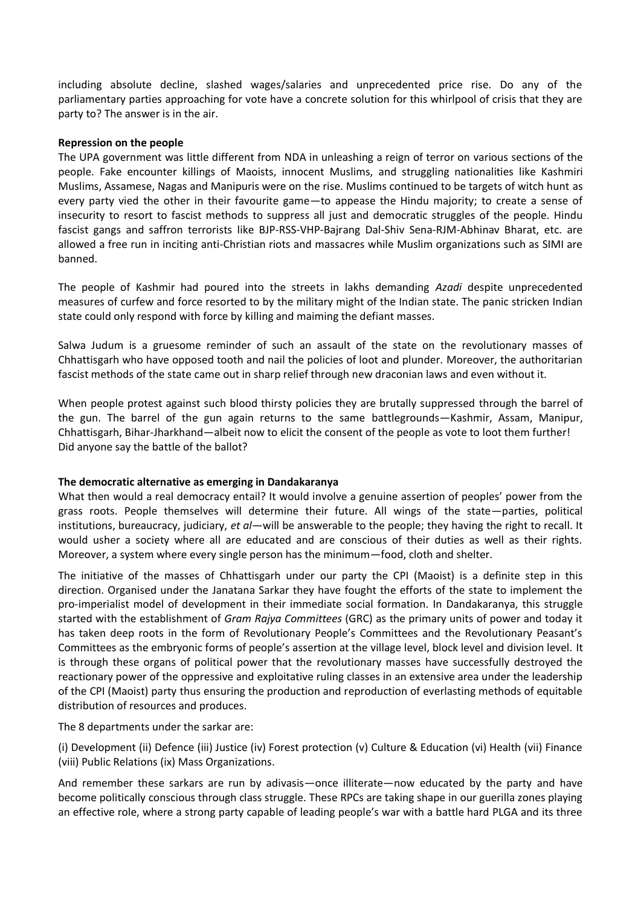including absolute decline, slashed wages/salaries and unprecedented price rise. Do any of the parliamentary parties approaching for vote have a concrete solution for this whirlpool of crisis that they are party to? The answer is in the air.

#### **Repression on the people**

The UPA government was little different from NDA in unleashing a reign of terror on various sections of the people. Fake encounter killings of Maoists, innocent Muslims, and struggling nationalities like Kashmiri Muslims, Assamese, Nagas and Manipuris were on the rise. Muslims continued to be targets of witch hunt as every party vied the other in their favourite game—to appease the Hindu majority; to create a sense of insecurity to resort to fascist methods to suppress all just and democratic struggles of the people. Hindu fascist gangs and saffron terrorists like BJP-RSS-VHP-Bajrang Dal-Shiv Sena-RJM-Abhinav Bharat, etc. are allowed a free run in inciting anti-Christian riots and massacres while Muslim organizations such as SIMI are banned.

The people of Kashmir had poured into the streets in lakhs demanding *Azadi* despite unprecedented measures of curfew and force resorted to by the military might of the Indian state. The panic stricken Indian state could only respond with force by killing and maiming the defiant masses.

Salwa Judum is a gruesome reminder of such an assault of the state on the revolutionary masses of Chhattisgarh who have opposed tooth and nail the policies of loot and plunder. Moreover, the authoritarian fascist methods of the state came out in sharp relief through new draconian laws and even without it.

When people protest against such blood thirsty policies they are brutally suppressed through the barrel of the gun. The barrel of the gun again returns to the same battlegrounds—Kashmir, Assam, Manipur, Chhattisgarh, Bihar-Jharkhand—albeit now to elicit the consent of the people as vote to loot them further! Did anyone say the battle of the ballot?

## **The democratic alternative as emerging in Dandakaranya**

What then would a real democracy entail? It would involve a genuine assertion of peoples' power from the grass roots. People themselves will determine their future. All wings of the state—parties, political institutions, bureaucracy, judiciary, *et al*—will be answerable to the people; they having the right to recall. It would usher a society where all are educated and are conscious of their duties as well as their rights. Moreover, a system where every single person has the minimum—food, cloth and shelter.

The initiative of the masses of Chhattisgarh under our party the CPI (Maoist) is a definite step in this direction. Organised under the Janatana Sarkar they have fought the efforts of the state to implement the pro-imperialist model of development in their immediate social formation. In Dandakaranya, this struggle started with the establishment of *Gram Rajya Committees* (GRC) as the primary units of power and today it has taken deep roots in the form of Revolutionary People's Committees and the Revolutionary Peasant's Committees as the embryonic forms of people's assertion at the village level, block level and division level. It is through these organs of political power that the revolutionary masses have successfully destroyed the reactionary power of the oppressive and exploitative ruling classes in an extensive area under the leadership of the CPI (Maoist) party thus ensuring the production and reproduction of everlasting methods of equitable distribution of resources and produces.

The 8 departments under the sarkar are:

(i) Development (ii) Defence (iii) Justice (iv) Forest protection (v) Culture & Education (vi) Health (vii) Finance (viii) Public Relations (ix) Mass Organizations.

And remember these sarkars are run by adivasis—once illiterate—now educated by the party and have become politically conscious through class struggle. These RPCs are taking shape in our guerilla zones playing an effective role, where a strong party capable of leading people's war with a battle hard PLGA and its three